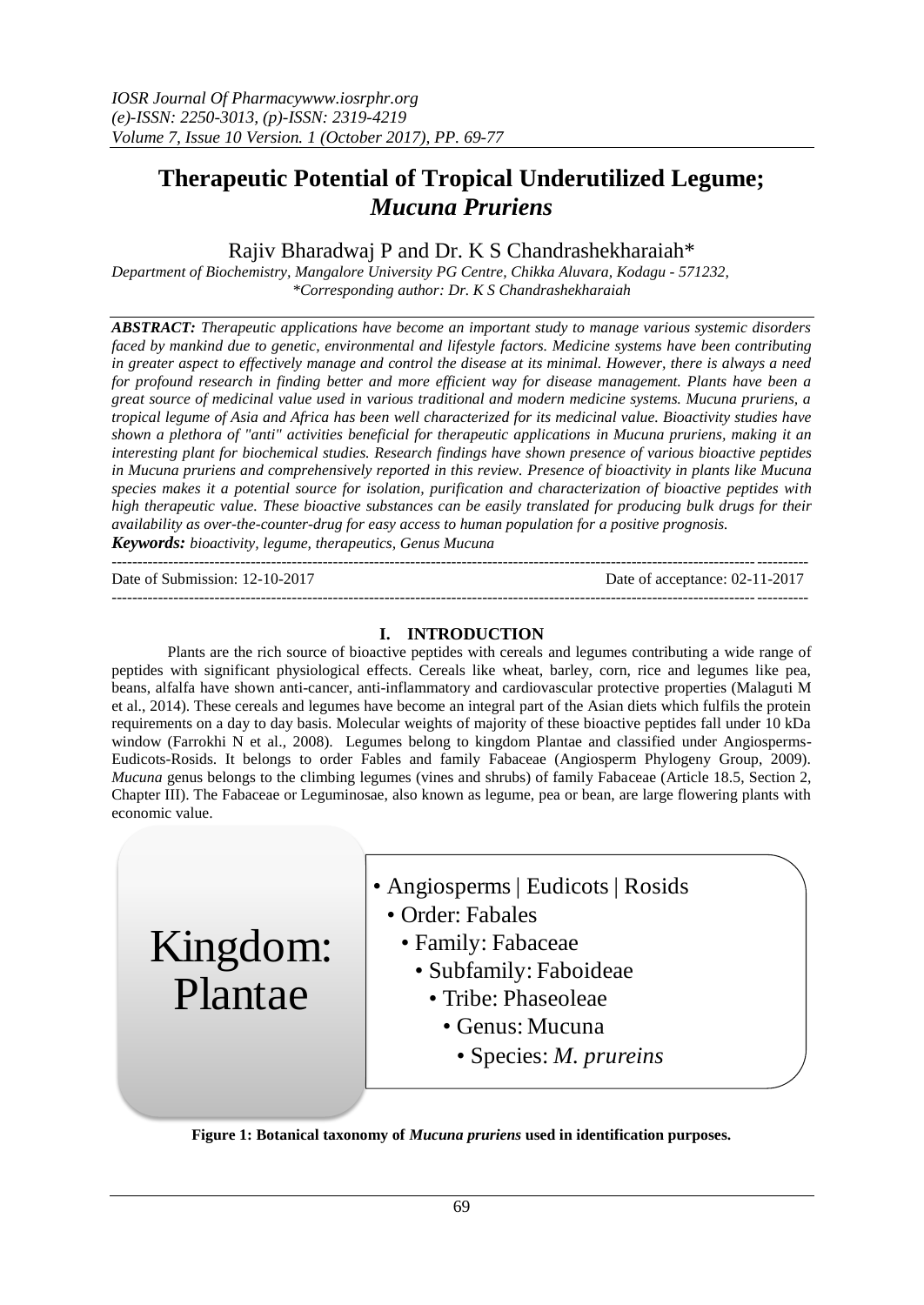# **Therapeutic Potential of Tropical Underutilized Legume;**  *Mucuna Pruriens*

# Rajiv Bharadwaj P and Dr. K S Chandrashekharaiah\*

*Department of Biochemistry, Mangalore University PG Centre, Chikka Aluvara, Kodagu - 571232, \*Corresponding author: Dr. K S Chandrashekharaiah*

*ABSTRACT: Therapeutic applications have become an important study to manage various systemic disorders faced by mankind due to genetic, environmental and lifestyle factors. Medicine systems have been contributing in greater aspect to effectively manage and control the disease at its minimal. However, there is always a need for profound research in finding better and more efficient way for disease management. Plants have been a great source of medicinal value used in various traditional and modern medicine systems. Mucuna pruriens, a tropical legume of Asia and Africa has been well characterized for its medicinal value. Bioactivity studies have shown a plethora of "anti" activities beneficial for therapeutic applications in Mucuna pruriens, making it an interesting plant for biochemical studies. Research findings have shown presence of various bioactive peptides in Mucuna pruriens and comprehensively reported in this review. Presence of bioactivity in plants like Mucuna species makes it a potential source for isolation, purification and characterization of bioactive peptides with high therapeutic value. These bioactive substances can be easily translated for producing bulk drugs for their availability as over-the-counter-drug for easy access to human population for a positive prognosis.*

*Keywords: bioactivity, legume, therapeutics, Genus Mucuna* ---------------------------------------------------------------------------------------------------------------------------------------

Date of Submission: 12-10-2017 Date of acceptance: 02-11-2017

Kingdom:

Plantae

# **I. INTRODUCTION**

---------------------------------------------------------------------------------------------------------------------------------------

Plants are the rich source of bioactive peptides with cereals and legumes contributing a wide range of peptides with significant physiological effects. Cereals like wheat, barley, corn, rice and legumes like pea, beans, alfalfa have shown anti-cancer, anti-inflammatory and cardiovascular protective properties (Malaguti M et al., 2014). These cereals and legumes have become an integral part of the Asian diets which fulfils the protein requirements on a day to day basis. Molecular weights of majority of these bioactive peptides fall under 10 kDa window (Farrokhi N et al., 2008). Legumes belong to kingdom Plantae and classified under Angiosperms-Eudicots-Rosids. It belongs to order Fables and family Fabaceae (Angiosperm Phylogeny Group, 2009). *Mucuna* genus belongs to the climbing legumes (vines and shrubs) of family Fabaceae (Article 18.5, Section 2, Chapter III). The Fabaceae or Leguminosae, also known as legume, pea or bean, are large flowering plants with economic value.

• Angiosperms | Eudicots | Rosids

- Order: Fabales
	- Family: Fabaceae
		- Subfamily: Faboideae
			- Tribe: Phaseoleae
				- Genus: Mucuna
					- Species: *M. prureins*

**Figure 1: Botanical taxonomy of** *Mucuna pruriens* **used in identification purposes.**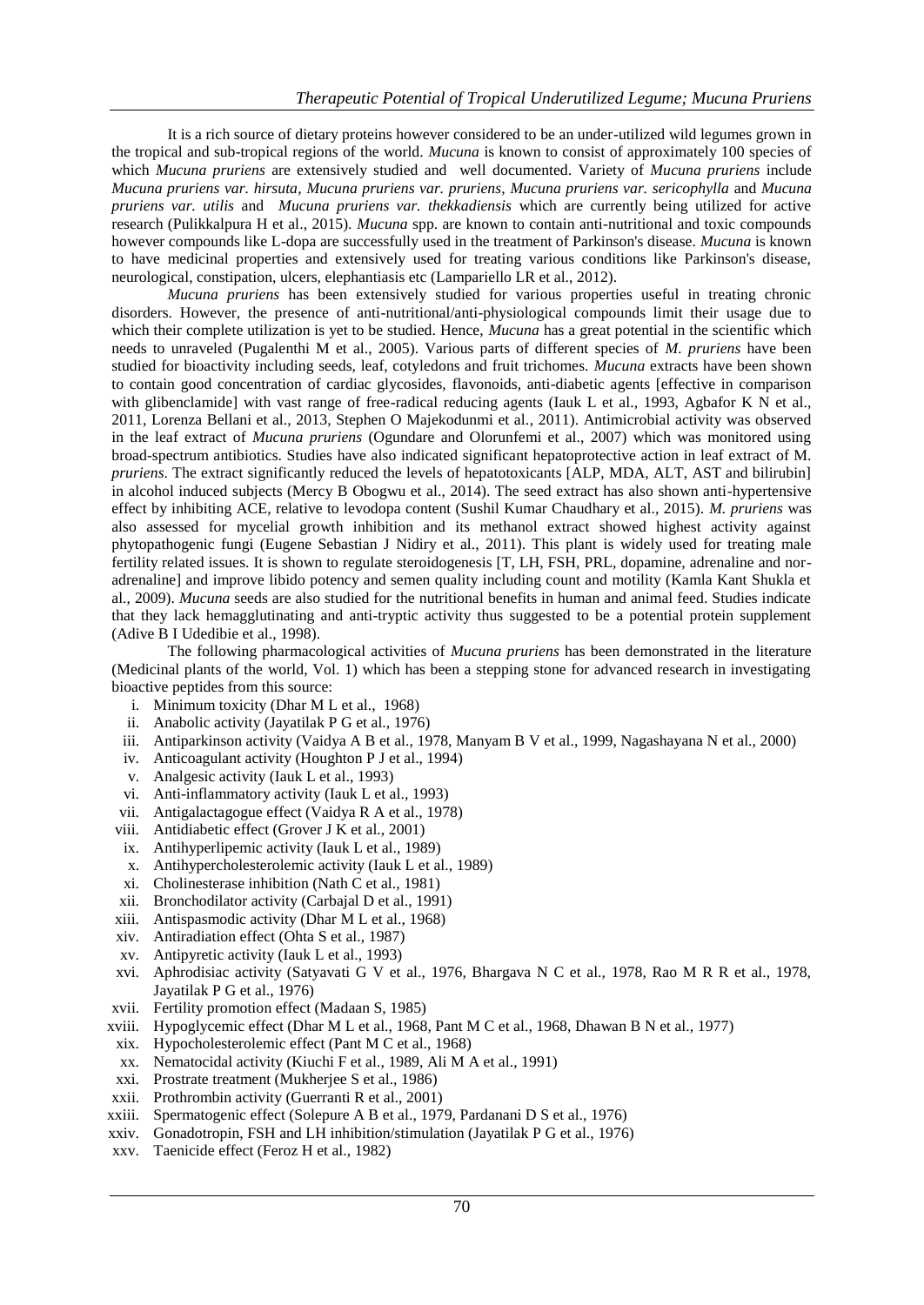It is a rich source of dietary proteins however considered to be an under-utilized wild legumes grown in the tropical and sub-tropical regions of the world. *Mucuna* is known to consist of approximately 100 species of which *Mucuna pruriens* are extensively studied and well documented. Variety of *Mucuna pruriens* include *Mucuna pruriens var. hirsuta*, *Mucuna pruriens var. pruriens*, *Mucuna pruriens var. sericophylla* and *Mucuna pruriens var. utilis* and *Mucuna pruriens var. thekkadiensis* which are currently being utilized for active research (Pulikkalpura H et al., 2015). *Mucuna* spp. are known to contain anti-nutritional and toxic compounds however compounds like L-dopa are successfully used in the treatment of Parkinson's disease. *Mucuna* is known to have medicinal properties and extensively used for treating various conditions like Parkinson's disease, neurological, constipation, ulcers, elephantiasis etc (Lampariello LR et al., 2012).

*Mucuna pruriens* has been extensively studied for various properties useful in treating chronic disorders. However, the presence of anti-nutritional/anti-physiological compounds limit their usage due to which their complete utilization is yet to be studied. Hence, *Mucuna* has a great potential in the scientific which needs to unraveled (Pugalenthi M et al., 2005). Various parts of different species of *M. pruriens* have been studied for bioactivity including seeds, leaf, cotyledons and fruit trichomes. *Mucuna* extracts have been shown to contain good concentration of cardiac glycosides, flavonoids, anti-diabetic agents [effective in comparison with glibenclamide] with vast range of free-radical reducing agents (Iauk L et al., 1993, Agbafor K N et al., 2011, Lorenza Bellani et al., 2013, Stephen O Majekodunmi et al., 2011). Antimicrobial activity was observed in the leaf extract of *Mucuna pruriens* (Ogundare and Olorunfemi et al., 2007) which was monitored using broad-spectrum antibiotics. Studies have also indicated significant hepatoprotective action in leaf extract of M. *pruriens*. The extract significantly reduced the levels of hepatotoxicants [ALP, MDA, ALT, AST and bilirubin] in alcohol induced subjects (Mercy B Obogwu et al., 2014). The seed extract has also shown anti-hypertensive effect by inhibiting ACE, relative to levodopa content (Sushil Kumar Chaudhary et al., 2015). *M. pruriens* was also assessed for mycelial growth inhibition and its methanol extract showed highest activity against phytopathogenic fungi (Eugene Sebastian J Nidiry et al., 2011). This plant is widely used for treating male fertility related issues. It is shown to regulate steroidogenesis [T, LH, FSH, PRL, dopamine, adrenaline and noradrenaline] and improve libido potency and semen quality including count and motility (Kamla Kant Shukla et al., 2009). *Mucuna* seeds are also studied for the nutritional benefits in human and animal feed. Studies indicate that they lack hemagglutinating and anti-tryptic activity thus suggested to be a potential protein supplement (Adive B I Udedibie et al., 1998).

The following pharmacological activities of *Mucuna pruriens* has been demonstrated in the literature (Medicinal plants of the world, Vol. 1) which has been a stepping stone for advanced research in investigating bioactive peptides from this source:

- i. Minimum toxicity (Dhar M L et al., 1968)
- ii. Anabolic activity (Jayatilak P G et al., 1976)
- iii. Antiparkinson activity (Vaidya A B et al., 1978, Manyam B V et al., 1999, Nagashayana N et al., 2000)
- iv. Anticoagulant activity (Houghton P J et al., 1994)
- v. Analgesic activity (Iauk L et al., 1993)
- vi. Anti-inflammatory activity (Iauk L et al., 1993)
- vii. Antigalactagogue effect (Vaidya R A et al., 1978)
- viii. Antidiabetic effect (Grover J K et al., 2001)
- ix. Antihyperlipemic activity (Iauk L et al., 1989)
- x. Antihypercholesterolemic activity (Iauk L et al., 1989)
- xi. Cholinesterase inhibition (Nath C et al., 1981)
- xii. Bronchodilator activity (Carbajal D et al., 1991)
- xiii. Antispasmodic activity (Dhar M L et al., 1968)
- xiv. Antiradiation effect (Ohta S et al., 1987)
- xv. Antipyretic activity (Iauk L et al., 1993)
- xvi. Aphrodisiac activity (Satyavati G V et al., 1976, Bhargava N C et al., 1978, Rao M R R et al., 1978, Jayatilak P G et al., 1976)
- xvii. Fertility promotion effect (Madaan S, 1985)
- xviii. Hypoglycemic effect (Dhar M L et al., 1968, Pant M C et al., 1968, Dhawan B N et al., 1977)
- xix. Hypocholesterolemic effect (Pant M C et al., 1968)
- xx. Nematocidal activity (Kiuchi F et al., 1989, Ali M A et al., 1991)
- xxi. Prostrate treatment (Mukherjee S et al., 1986)
- xxii. Prothrombin activity (Guerranti R et al., 2001)
- xxiii. Spermatogenic effect (Solepure A B et al., 1979, Pardanani D S et al., 1976)
- xxiv. Gonadotropin, FSH and LH inhibition/stimulation (Jayatilak P G et al., 1976)
- xxv. Taenicide effect (Feroz H et al., 1982)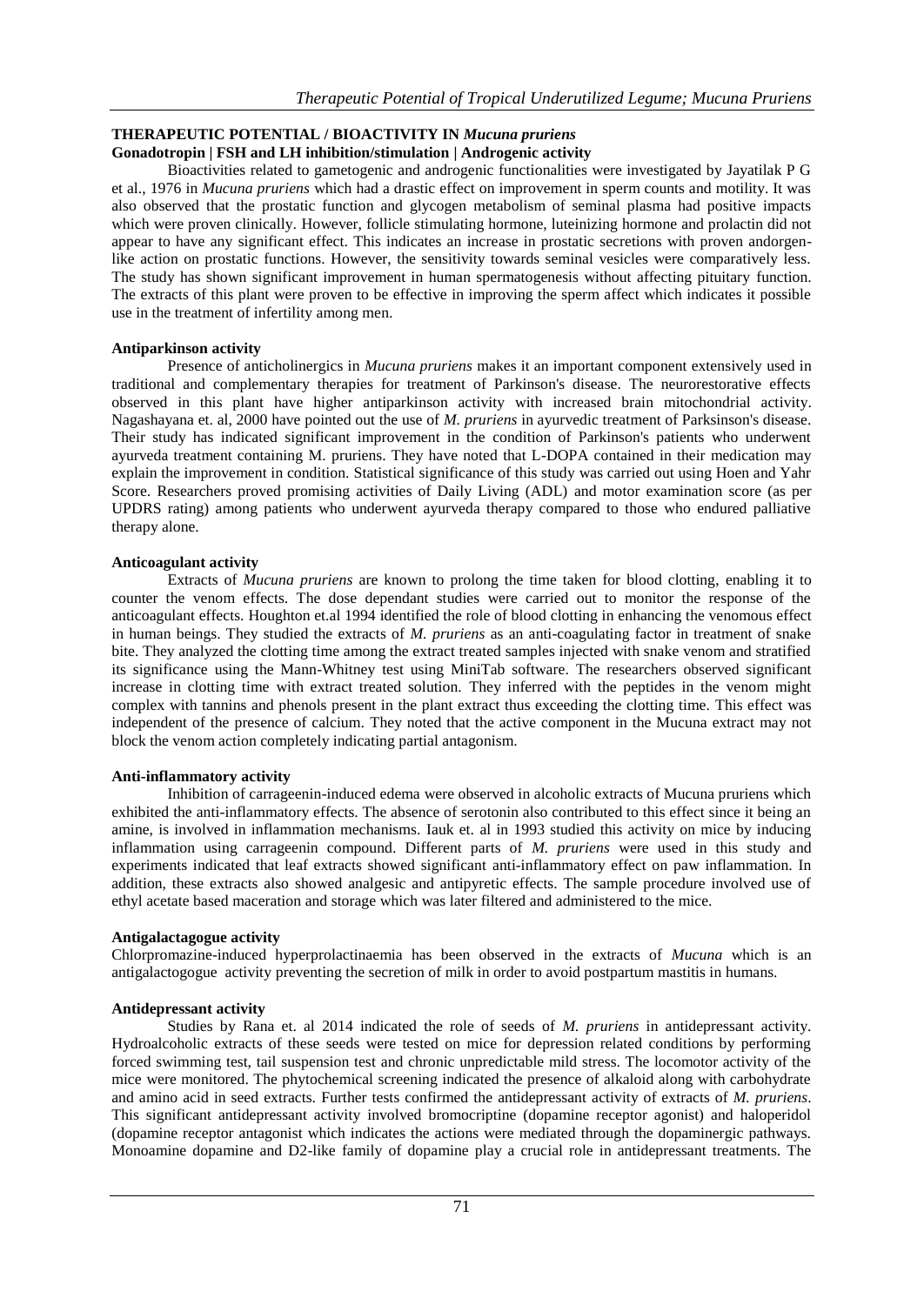#### **THERAPEUTIC POTENTIAL / BIOACTIVITY IN** *Mucuna pruriens* **Gonadotropin | FSH and LH inhibition/stimulation | Androgenic activity**

Bioactivities related to gametogenic and androgenic functionalities were investigated by Jayatilak P G et al., 1976 in *Mucuna pruriens* which had a drastic effect on improvement in sperm counts and motility. It was also observed that the prostatic function and glycogen metabolism of seminal plasma had positive impacts which were proven clinically. However, follicle stimulating hormone, luteinizing hormone and prolactin did not appear to have any significant effect. This indicates an increase in prostatic secretions with proven andorgenlike action on prostatic functions. However, the sensitivity towards seminal vesicles were comparatively less. The study has shown significant improvement in human spermatogenesis without affecting pituitary function. The extracts of this plant were proven to be effective in improving the sperm affect which indicates it possible use in the treatment of infertility among men.

# **Antiparkinson activity**

Presence of anticholinergics in *Mucuna pruriens* makes it an important component extensively used in traditional and complementary therapies for treatment of Parkinson's disease. The neurorestorative effects observed in this plant have higher antiparkinson activity with increased brain mitochondrial activity. Nagashayana et. al, 2000 have pointed out the use of *M. pruriens* in ayurvedic treatment of Parksinson's disease. Their study has indicated significant improvement in the condition of Parkinson's patients who underwent ayurveda treatment containing M. pruriens. They have noted that L-DOPA contained in their medication may explain the improvement in condition. Statistical significance of this study was carried out using Hoen and Yahr Score. Researchers proved promising activities of Daily Living (ADL) and motor examination score (as per UPDRS rating) among patients who underwent ayurveda therapy compared to those who endured palliative therapy alone.

# **Anticoagulant activity**

Extracts of *Mucuna pruriens* are known to prolong the time taken for blood clotting, enabling it to counter the venom effects. The dose dependant studies were carried out to monitor the response of the anticoagulant effects. Houghton et.al 1994 identified the role of blood clotting in enhancing the venomous effect in human beings. They studied the extracts of *M. pruriens* as an anti-coagulating factor in treatment of snake bite. They analyzed the clotting time among the extract treated samples injected with snake venom and stratified its significance using the Mann-Whitney test using MiniTab software. The researchers observed significant increase in clotting time with extract treated solution. They inferred with the peptides in the venom might complex with tannins and phenols present in the plant extract thus exceeding the clotting time. This effect was independent of the presence of calcium. They noted that the active component in the Mucuna extract may not block the venom action completely indicating partial antagonism.

# **Anti-inflammatory activity**

Inhibition of carrageenin-induced edema were observed in alcoholic extracts of Mucuna pruriens which exhibited the anti-inflammatory effects. The absence of serotonin also contributed to this effect since it being an amine, is involved in inflammation mechanisms. Iauk et. al in 1993 studied this activity on mice by inducing inflammation using carrageenin compound. Different parts of *M. pruriens* were used in this study and experiments indicated that leaf extracts showed significant anti-inflammatory effect on paw inflammation. In addition, these extracts also showed analgesic and antipyretic effects. The sample procedure involved use of ethyl acetate based maceration and storage which was later filtered and administered to the mice.

# **Antigalactagogue activity**

Chlorpromazine-induced hyperprolactinaemia has been observed in the extracts of *Mucuna* which is an antigalactogogue activity preventing the secretion of milk in order to avoid postpartum mastitis in humans.

# **Antidepressant activity**

Studies by Rana et. al 2014 indicated the role of seeds of *M. pruriens* in antidepressant activity. Hydroalcoholic extracts of these seeds were tested on mice for depression related conditions by performing forced swimming test, tail suspension test and chronic unpredictable mild stress. The locomotor activity of the mice were monitored. The phytochemical screening indicated the presence of alkaloid along with carbohydrate and amino acid in seed extracts. Further tests confirmed the antidepressant activity of extracts of *M. pruriens*. This significant antidepressant activity involved bromocriptine (dopamine receptor agonist) and haloperidol (dopamine receptor antagonist which indicates the actions were mediated through the dopaminergic pathways. Monoamine dopamine and D2-like family of dopamine play a crucial role in antidepressant treatments. The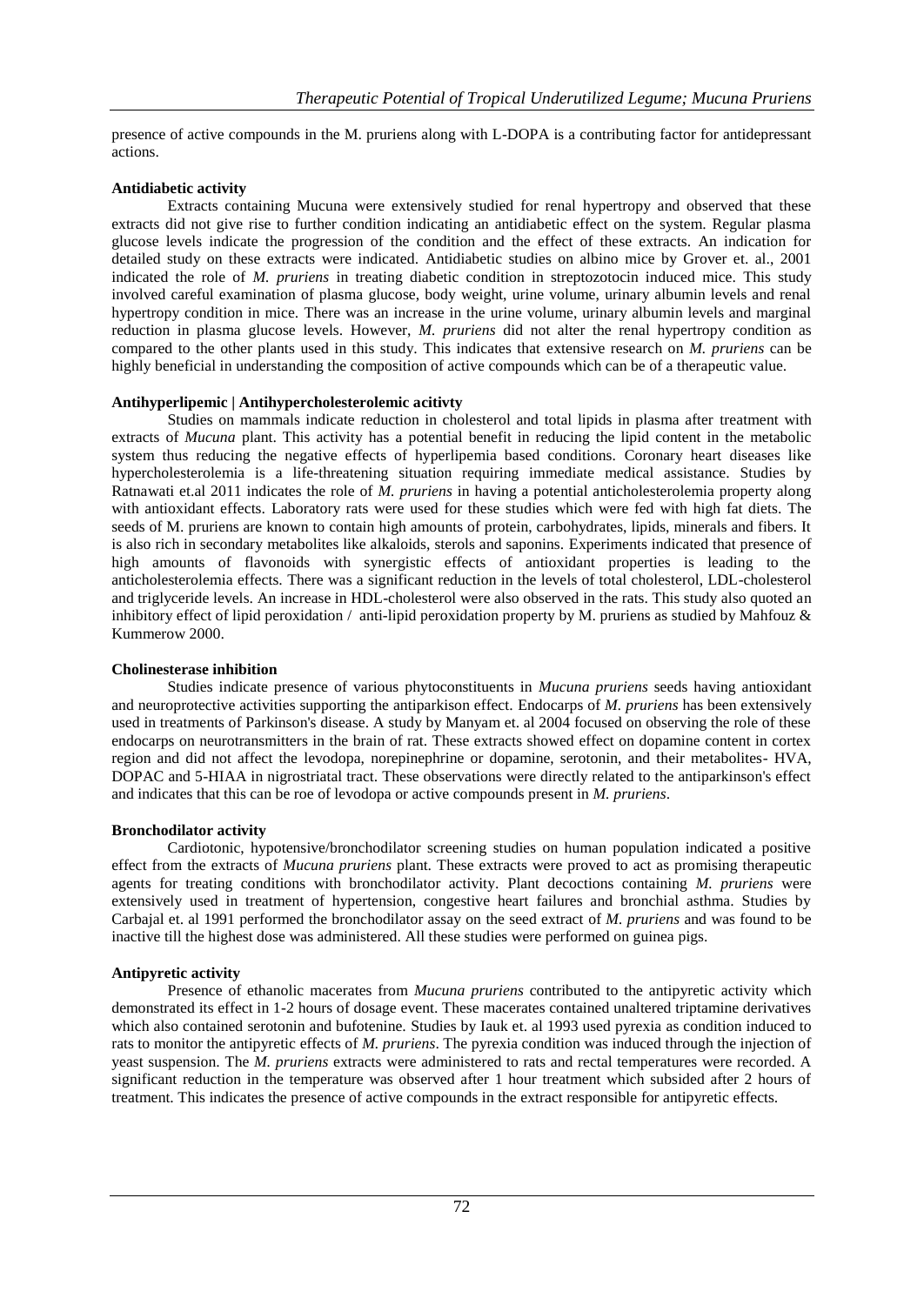presence of active compounds in the M. pruriens along with L-DOPA is a contributing factor for antidepressant actions.

# **Antidiabetic activity**

Extracts containing Mucuna were extensively studied for renal hypertropy and observed that these extracts did not give rise to further condition indicating an antidiabetic effect on the system. Regular plasma glucose levels indicate the progression of the condition and the effect of these extracts. An indication for detailed study on these extracts were indicated. Antidiabetic studies on albino mice by Grover et. al., 2001 indicated the role of *M. pruriens* in treating diabetic condition in streptozotocin induced mice. This study involved careful examination of plasma glucose, body weight, urine volume, urinary albumin levels and renal hypertropy condition in mice. There was an increase in the urine volume, urinary albumin levels and marginal reduction in plasma glucose levels. However, *M. pruriens* did not alter the renal hypertropy condition as compared to the other plants used in this study. This indicates that extensive research on *M. pruriens* can be highly beneficial in understanding the composition of active compounds which can be of a therapeutic value.

# **Antihyperlipemic | Antihypercholesterolemic acitivty**

Studies on mammals indicate reduction in cholesterol and total lipids in plasma after treatment with extracts of *Mucuna* plant. This activity has a potential benefit in reducing the lipid content in the metabolic system thus reducing the negative effects of hyperlipemia based conditions. Coronary heart diseases like hypercholesterolemia is a life-threatening situation requiring immediate medical assistance. Studies by Ratnawati et.al 2011 indicates the role of *M. pruriens* in having a potential anticholesterolemia property along with antioxidant effects. Laboratory rats were used for these studies which were fed with high fat diets. The seeds of M. pruriens are known to contain high amounts of protein, carbohydrates, lipids, minerals and fibers. It is also rich in secondary metabolites like alkaloids, sterols and saponins. Experiments indicated that presence of high amounts of flavonoids with synergistic effects of antioxidant properties is leading to the anticholesterolemia effects. There was a significant reduction in the levels of total cholesterol, LDL-cholesterol and triglyceride levels. An increase in HDL-cholesterol were also observed in the rats. This study also quoted an inhibitory effect of lipid peroxidation / anti-lipid peroxidation property by M. pruriens as studied by Mahfouz  $\&$ Kummerow 2000.

# **Cholinesterase inhibition**

Studies indicate presence of various phytoconstituents in *Mucuna pruriens* seeds having antioxidant and neuroprotective activities supporting the antiparkison effect. Endocarps of *M. pruriens* has been extensively used in treatments of Parkinson's disease. A study by Manyam et. al 2004 focused on observing the role of these endocarps on neurotransmitters in the brain of rat. These extracts showed effect on dopamine content in cortex region and did not affect the levodopa, norepinephrine or dopamine, serotonin, and their metabolites- HVA, DOPAC and 5-HIAA in nigrostriatal tract. These observations were directly related to the antiparkinson's effect and indicates that this can be roe of levodopa or active compounds present in *M. pruriens*.

# **Bronchodilator activity**

Cardiotonic, hypotensive/bronchodilator screening studies on human population indicated a positive effect from the extracts of *Mucuna pruriens* plant. These extracts were proved to act as promising therapeutic agents for treating conditions with bronchodilator activity. Plant decoctions containing *M. pruriens* were extensively used in treatment of hypertension, congestive heart failures and bronchial asthma. Studies by Carbajal et. al 1991 performed the bronchodilator assay on the seed extract of *M. pruriens* and was found to be inactive till the highest dose was administered. All these studies were performed on guinea pigs.

# **Antipyretic activity**

Presence of ethanolic macerates from *Mucuna pruriens* contributed to the antipyretic activity which demonstrated its effect in 1-2 hours of dosage event. These macerates contained unaltered triptamine derivatives which also contained serotonin and bufotenine. Studies by Iauk et. al 1993 used pyrexia as condition induced to rats to monitor the antipyretic effects of *M. pruriens*. The pyrexia condition was induced through the injection of yeast suspension. The *M. pruriens* extracts were administered to rats and rectal temperatures were recorded. A significant reduction in the temperature was observed after 1 hour treatment which subsided after 2 hours of treatment. This indicates the presence of active compounds in the extract responsible for antipyretic effects.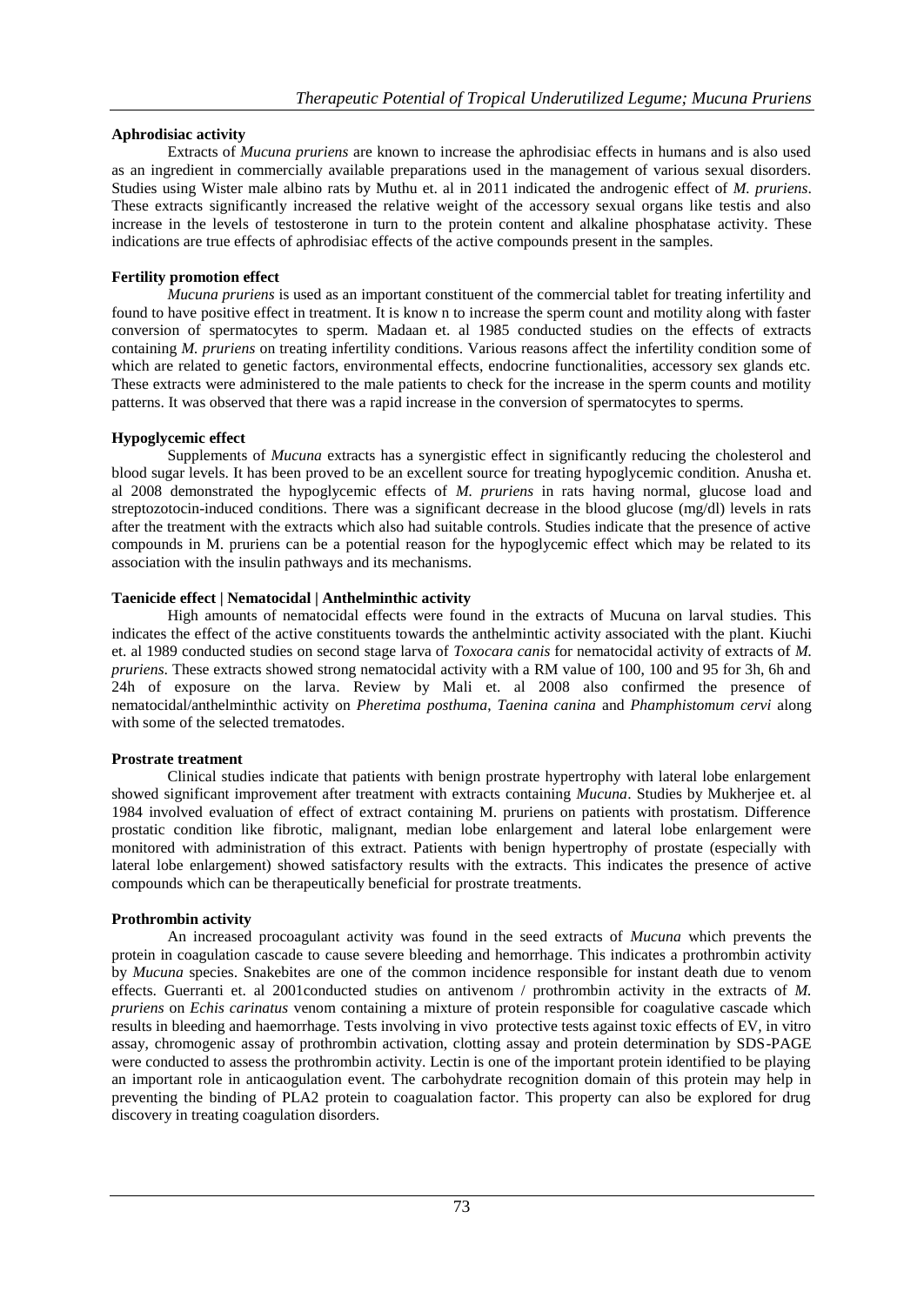# **Aphrodisiac activity**

Extracts of *Mucuna pruriens* are known to increase the aphrodisiac effects in humans and is also used as an ingredient in commercially available preparations used in the management of various sexual disorders. Studies using Wister male albino rats by Muthu et. al in 2011 indicated the androgenic effect of *M. pruriens*. These extracts significantly increased the relative weight of the accessory sexual organs like testis and also increase in the levels of testosterone in turn to the protein content and alkaline phosphatase activity. These indications are true effects of aphrodisiac effects of the active compounds present in the samples.

# **Fertility promotion effect**

*Mucuna pruriens* is used as an important constituent of the commercial tablet for treating infertility and found to have positive effect in treatment. It is know n to increase the sperm count and motility along with faster conversion of spermatocytes to sperm. Madaan et. al 1985 conducted studies on the effects of extracts containing *M. pruriens* on treating infertility conditions. Various reasons affect the infertility condition some of which are related to genetic factors, environmental effects, endocrine functionalities, accessory sex glands etc. These extracts were administered to the male patients to check for the increase in the sperm counts and motility patterns. It was observed that there was a rapid increase in the conversion of spermatocytes to sperms.

# **Hypoglycemic effect**

Supplements of *Mucuna* extracts has a synergistic effect in significantly reducing the cholesterol and blood sugar levels. It has been proved to be an excellent source for treating hypoglycemic condition. Anusha et. al 2008 demonstrated the hypoglycemic effects of *M. pruriens* in rats having normal, glucose load and streptozotocin-induced conditions. There was a significant decrease in the blood glucose (mg/dl) levels in rats after the treatment with the extracts which also had suitable controls. Studies indicate that the presence of active compounds in M. pruriens can be a potential reason for the hypoglycemic effect which may be related to its association with the insulin pathways and its mechanisms.

# **Taenicide effect | Nematocidal | Anthelminthic activity**

High amounts of nematocidal effects were found in the extracts of Mucuna on larval studies. This indicates the effect of the active constituents towards the anthelmintic activity associated with the plant. Kiuchi et. al 1989 conducted studies on second stage larva of *Toxocara canis* for nematocidal activity of extracts of *M. pruriens*. These extracts showed strong nematocidal activity with a RM value of 100, 100 and 95 for 3h, 6h and 24h of exposure on the larva. Review by Mali et. al 2008 also confirmed the presence of nematocidal/anthelminthic activity on *Pheretima posthuma*, *Taenina canina* and *Phamphistomum cervi* along with some of the selected trematodes.

# **Prostrate treatment**

Clinical studies indicate that patients with benign prostrate hypertrophy with lateral lobe enlargement showed significant improvement after treatment with extracts containing *Mucuna*. Studies by Mukherjee et. al 1984 involved evaluation of effect of extract containing M. pruriens on patients with prostatism. Difference prostatic condition like fibrotic, malignant, median lobe enlargement and lateral lobe enlargement were monitored with administration of this extract. Patients with benign hypertrophy of prostate (especially with lateral lobe enlargement) showed satisfactory results with the extracts. This indicates the presence of active compounds which can be therapeutically beneficial for prostrate treatments.

# **Prothrombin activity**

An increased procoagulant activity was found in the seed extracts of *Mucuna* which prevents the protein in coagulation cascade to cause severe bleeding and hemorrhage. This indicates a prothrombin activity by *Mucuna* species. Snakebites are one of the common incidence responsible for instant death due to venom effects. Guerranti et. al 2001conducted studies on antivenom / prothrombin activity in the extracts of *M. pruriens* on *Echis carinatus* venom containing a mixture of protein responsible for coagulative cascade which results in bleeding and haemorrhage. Tests involving in vivo protective tests against toxic effects of EV, in vitro assay, chromogenic assay of prothrombin activation, clotting assay and protein determination by SDS-PAGE were conducted to assess the prothrombin activity. Lectin is one of the important protein identified to be playing an important role in anticaogulation event. The carbohydrate recognition domain of this protein may help in preventing the binding of PLA2 protein to coagualation factor. This property can also be explored for drug discovery in treating coagulation disorders.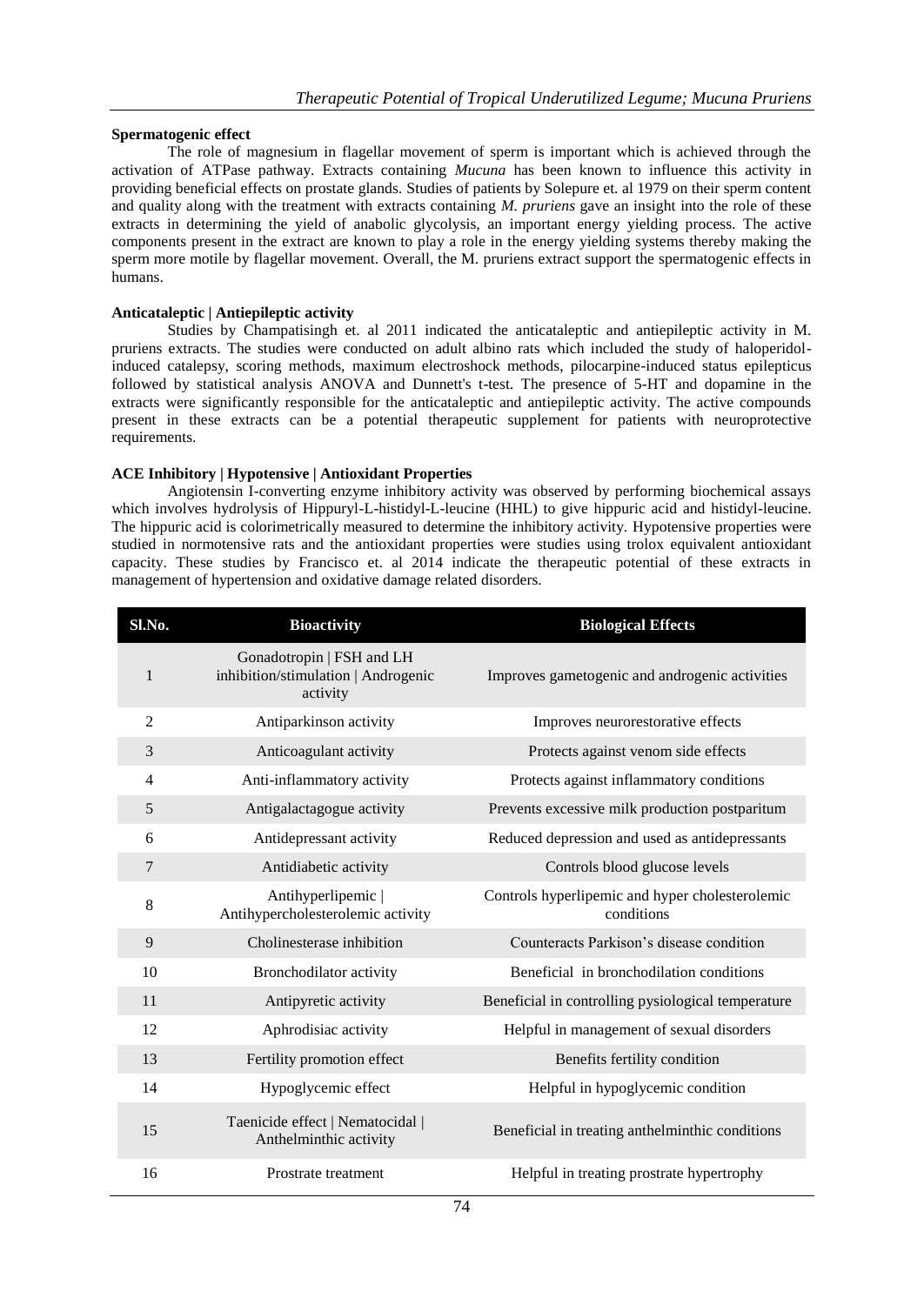# **Spermatogenic effect**

The role of magnesium in flagellar movement of sperm is important which is achieved through the activation of ATPase pathway. Extracts containing *Mucuna* has been known to influence this activity in providing beneficial effects on prostate glands. Studies of patients by Solepure et. al 1979 on their sperm content and quality along with the treatment with extracts containing *M. pruriens* gave an insight into the role of these extracts in determining the yield of anabolic glycolysis, an important energy yielding process. The active components present in the extract are known to play a role in the energy yielding systems thereby making the sperm more motile by flagellar movement. Overall, the M. pruriens extract support the spermatogenic effects in humans.

# **Anticataleptic | Antiepileptic activity**

Studies by Champatisingh et. al 2011 indicated the anticataleptic and antiepileptic activity in M. pruriens extracts. The studies were conducted on adult albino rats which included the study of haloperidolinduced catalepsy, scoring methods, maximum electroshock methods, pilocarpine-induced status epilepticus followed by statistical analysis ANOVA and Dunnett's t-test. The presence of 5-HT and dopamine in the extracts were significantly responsible for the anticataleptic and antiepileptic activity. The active compounds present in these extracts can be a potential therapeutic supplement for patients with neuroprotective requirements.

# **ACE Inhibitory | Hypotensive | Antioxidant Properties**

Angiotensin I-converting enzyme inhibitory activity was observed by performing biochemical assays which involves hydrolysis of Hippuryl-L-histidyl-L-leucine (HHL) to give hippuric acid and histidyl-leucine. The hippuric acid is colorimetrically measured to determine the inhibitory activity. Hypotensive properties were studied in normotensive rats and the antioxidant properties were studies using trolox equivalent antioxidant capacity. These studies by Francisco et. al 2014 indicate the therapeutic potential of these extracts in management of hypertension and oxidative damage related disorders.

| S1.N0.         | <b>Bioactivity</b>                                                           | <b>Biological Effects</b>                                     |
|----------------|------------------------------------------------------------------------------|---------------------------------------------------------------|
| 1              | Gonadotropin   FSH and LH<br>inhibition/stimulation   Androgenic<br>activity | Improves gametogenic and androgenic activities                |
| 2              | Antiparkinson activity                                                       | Improves neurorestorative effects                             |
| 3              | Anticoagulant activity                                                       | Protects against venom side effects                           |
| $\overline{4}$ | Anti-inflammatory activity                                                   | Protects against inflammatory conditions                      |
| 5              | Antigalactagogue activity                                                    | Prevents excessive milk production postparitum                |
| 6              | Antidepressant activity                                                      | Reduced depression and used as antidepressants                |
| $\overline{7}$ | Antidiabetic activity                                                        | Controls blood glucose levels                                 |
| 8              | Antihyperlipemic  <br>Antihypercholesterolemic activity                      | Controls hyperlipemic and hyper cholesterolemic<br>conditions |
| 9              | Cholinesterase inhibition                                                    | Counteracts Parkison's disease condition                      |
| 10             | Bronchodilator activity                                                      | Beneficial in bronchodilation conditions                      |
| 11             | Antipyretic activity                                                         | Beneficial in controlling pysiological temperature            |
| 12             | Aphrodisiac activity                                                         | Helpful in management of sexual disorders                     |
| 13             | Fertility promotion effect                                                   | Benefits fertility condition                                  |
| 14             | Hypoglycemic effect                                                          | Helpful in hypoglycemic condition                             |
| 15             | Taenicide effect   Nematocidal  <br>Anthelminthic activity                   | Beneficial in treating anthelminthic conditions               |
| 16             | Prostrate treatment                                                          | Helpful in treating prostrate hypertrophy                     |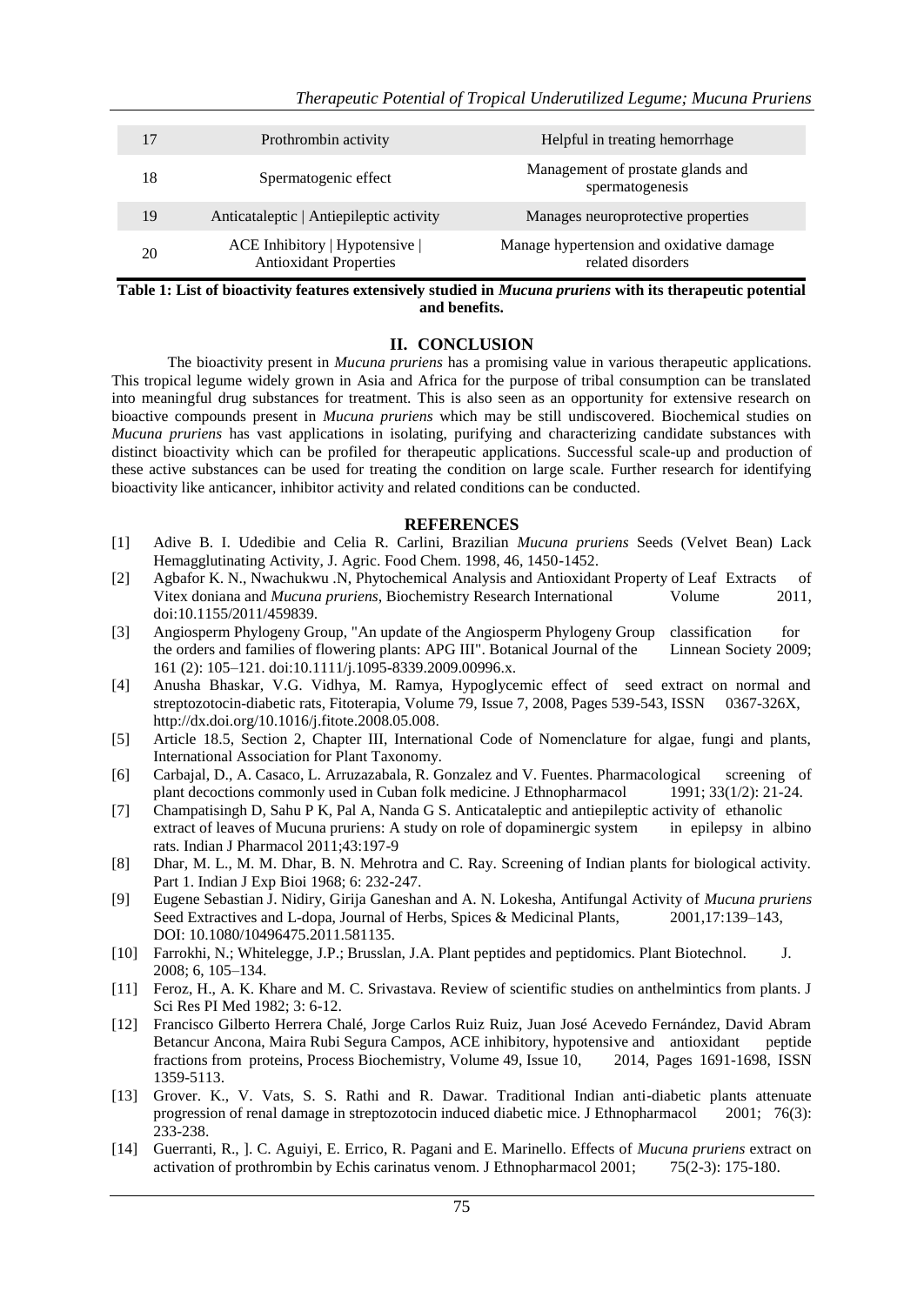| 17 | Prothrombin activity                                            | Helpful in treating hemorrhage                                |
|----|-----------------------------------------------------------------|---------------------------------------------------------------|
| 18 | Spermatogenic effect                                            | Management of prostate glands and<br>spermatogenesis          |
| 19 | Anticataleptic   Antiepileptic activity                         | Manages neuroprotective properties                            |
| 20 | ACE Inhibitory   Hypotensive  <br><b>Antioxidant Properties</b> | Manage hypertension and oxidative damage<br>related disorders |

**Table 1: List of bioactivity features extensively studied in** *Mucuna pruriens* **with its therapeutic potential and benefits.**

# **II. CONCLUSION**

The bioactivity present in *Mucuna pruriens* has a promising value in various therapeutic applications. This tropical legume widely grown in Asia and Africa for the purpose of tribal consumption can be translated into meaningful drug substances for treatment. This is also seen as an opportunity for extensive research on bioactive compounds present in *Mucuna pruriens* which may be still undiscovered. Biochemical studies on *Mucuna pruriens* has vast applications in isolating, purifying and characterizing candidate substances with distinct bioactivity which can be profiled for therapeutic applications. Successful scale-up and production of these active substances can be used for treating the condition on large scale. Further research for identifying bioactivity like anticancer, inhibitor activity and related conditions can be conducted.

# **REFERENCES**

- [1] Adive B. I. Udedibie and Celia R. Carlini, Brazilian *Mucuna pruriens* Seeds (Velvet Bean) Lack Hemagglutinating Activity, J. Agric. Food Chem. 1998, 46, 1450-1452.
- [2] Agbafor K. N., Nwachukwu .N, Phytochemical Analysis and Antioxidant Property of Leaf Extracts of Vitex doniana and *Mucuna pruriens*, Biochemistry Research International Volume 2011, doi:10.1155/2011/459839.
- [3] Angiosperm Phylogeny Group, "An update of the Angiosperm Phylogeny Group classification for the orders and families of flowering plants: APG III". Botanical Journal of the Linnean Society 2009; 161 (2): 105–121. doi:10.1111/j.1095-8339.2009.00996.x.
- [4] Anusha Bhaskar, V.G. Vidhya, M. Ramya, Hypoglycemic effect of seed extract on normal and streptozotocin-diabetic rats, Fitoterapia, Volume 79, Issue 7, 2008, Pages 539-543, ISSN 0367-326X, http://dx.doi.org/10.1016/j.fitote.2008.05.008.
- [5] Article 18.5, Section 2, Chapter III, International Code of Nomenclature for algae, fungi and plants, International Association for Plant Taxonomy.
- [6] Carbajal, D., A. Casaco, L. Arruzazabala, R. Gonzalez and V. Fuentes. Pharmacological screening of plant decoctions commonly used in Cuban folk medicine. J Ethnopharmacol 1991; 33(1/2): 21-24.
- [7] Champatisingh D, Sahu P K, Pal A, Nanda G S. Anticataleptic and antiepileptic activity of ethanolic extract of leaves of Mucuna pruriens: A study on role of dopaminergic system in epilepsy in albino rats. Indian J Pharmacol 2011;43:197-9
- [8] Dhar, M. L., M. M. Dhar, B. N. Mehrotra and C. Ray. Screening of Indian plants for biological activity. Part 1. Indian J Exp Bioi 1968; 6: 232-247.
- [9] Eugene Sebastian J. Nidiry, Girija Ganeshan and A. N. Lokesha, Antifungal Activity of *Mucuna pruriens* Seed Extractives and L-dopa, Journal of Herbs, Spices & Medicinal Plants, 2001,17:139–143, DOI: 10.1080/10496475.2011.581135.
- [10] Farrokhi, N.; Whitelegge, J.P.; Brusslan, J.A. Plant peptides and peptidomics. Plant Biotechnol. J. 2008; 6, 105–134.
- [11] Feroz, H., A. K. Khare and M. C. Srivastava. Review of scientific studies on anthelmintics from plants. J Sci Res PI Med 1982; 3: 6-12.
- [12] Francisco Gilberto Herrera Chalé, Jorge Carlos Ruiz Ruiz, Juan José Acevedo Fernández, David Abram Betancur Ancona, Maira Rubi Segura Campos, ACE inhibitory, hypotensive and antioxidant peptide fractions from proteins, Process Biochemistry, Volume 49, Issue 10, 2014, Pages 1691-1698, ISSN 1359-5113.
- [13] Grover. K., V. Vats, S. S. Rathi and R. Dawar. Traditional Indian anti-diabetic plants attenuate progression of renal damage in streptozotocin induced diabetic mice. J Ethnopharmacol 2001; 76(3): 233-238.
- [14] Guerranti, R., ]. C. Aguiyi, E. Errico, R. Pagani and E. Marinello. Effects of *Mucuna pruriens* extract on activation of prothrombin by Echis carinatus venom. J Ethnopharmacol 2001; 75(2-3): 175-180.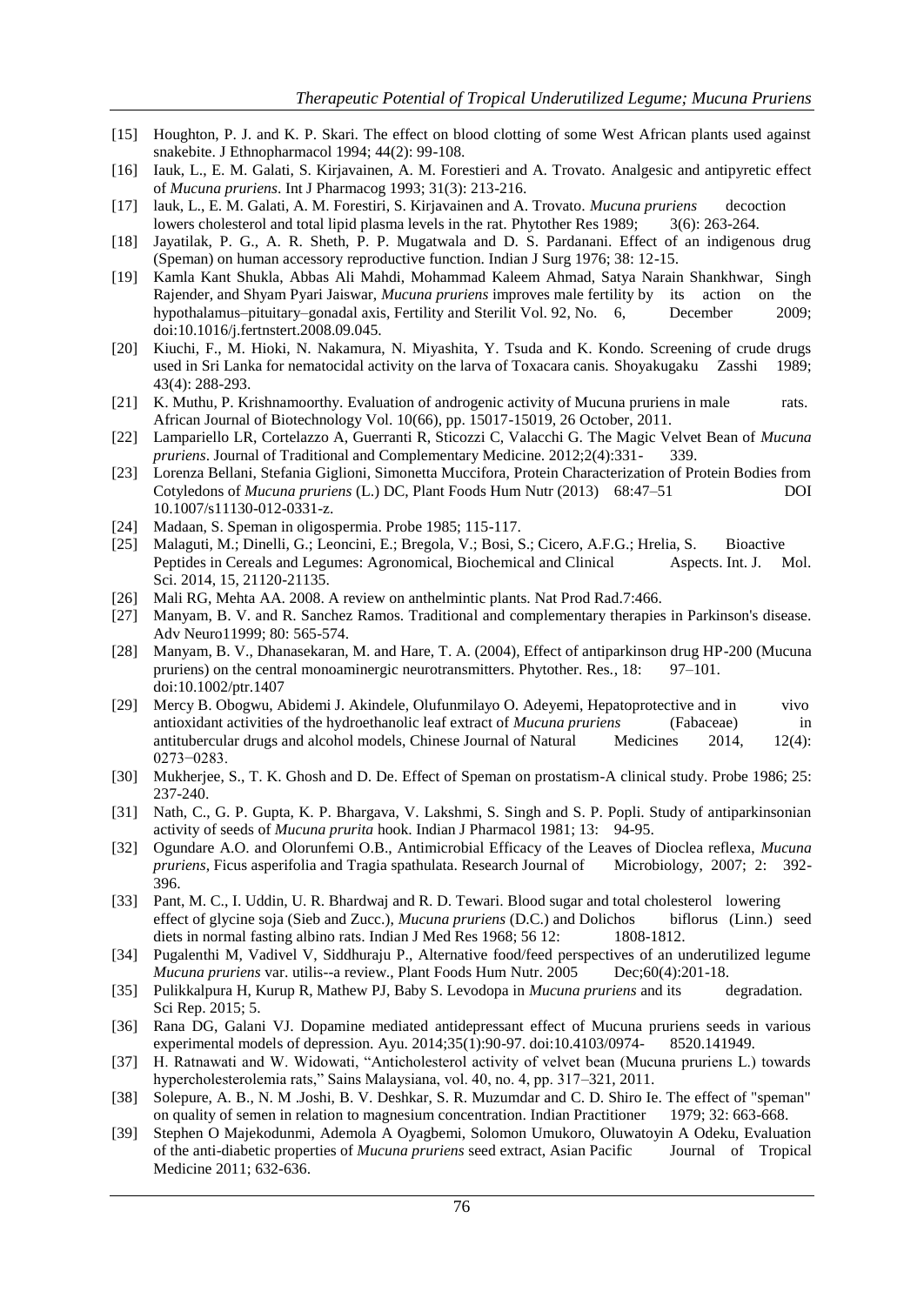- [15] Houghton, P. J. and K. P. Skari. The effect on blood clotting of some West African plants used against snakebite. J Ethnopharmacol 1994; 44(2): 99-108.
- [16] Iauk, L., E. M. Galati, S. Kirjavainen, A. M. Forestieri and A. Trovato. Analgesic and antipyretic effect of *Mucuna pruriens*. Int J Pharmacog 1993; 31(3): 213-216.
- [17] lauk, L., E. M. Galati, A. M. Forestiri, S. Kirjavainen and A. Trovato. *Mucuna pruriens* decoction lowers cholesterol and total lipid plasma levels in the rat. Phytother Res 1989; 3(6): 263-264.
- [18] Jayatilak, P. G., A. R. Sheth, P. P. Mugatwala and D. S. Pardanani. Effect of an indigenous drug (Speman) on human accessory reproductive function. Indian J Surg 1976; 38: 12-15.
- [19] Kamla Kant Shukla, Abbas Ali Mahdi, Mohammad Kaleem Ahmad, Satya Narain Shankhwar, Singh Rajender, and Shyam Pyari Jaiswar, *Mucuna pruriens* improves male fertility by its action on the hypothalamus–pituitary–gonadal axis, Fertility and Sterilit Vol. 92, No. 6, December 2009; doi:10.1016/j.fertnstert.2008.09.045.
- [20] Kiuchi, F., M. Hioki, N. Nakamura, N. Miyashita, Y. Tsuda and K. Kondo. Screening of crude drugs used in Sri Lanka for nematocidal activity on the larva of Toxacara canis. Shoyakugaku Zasshi 1989; 43(4): 288-293.
- [21] K. Muthu, P. Krishnamoorthy. Evaluation of androgenic activity of Mucuna pruriens in male rats. African Journal of Biotechnology Vol. 10(66), pp. 15017-15019, 26 October, 2011.
- [22] Lampariello LR, Cortelazzo A, Guerranti R, Sticozzi C, Valacchi G. The Magic Velvet Bean of *Mucuna pruriens*. Journal of Traditional and Complementary Medicine. 2012;2(4):331- 339.
- [23] Lorenza Bellani, Stefania Giglioni, Simonetta Muccifora, Protein Characterization of Protein Bodies from Cotyledons of *Mucuna pruriens* (L.) DC, Plant Foods Hum Nutr (2013) 68:47–51 DOI 10.1007/s11130-012-0331-z.
- [24] Madaan, S. Speman in oligospermia. Probe 1985; 115-117.
- [25] Malaguti, M.; Dinelli, G.; Leoncini, E.; Bregola, V.; Bosi, S.; Cicero, A.F.G.; Hrelia, S. Bioactive Peptides in Cereals and Legumes: Agronomical, Biochemical and Clinical Aspects. Int. J. Mol. Sci. 2014, 15, 21120-21135.
- [26] Mali RG, Mehta AA. 2008. A review on anthelmintic plants. Nat Prod Rad.7:466.
- [27] Manyam, B. V. and R. Sanchez Ramos. Traditional and complementary therapies in Parkinson's disease. Adv Neuro11999; 80: 565-574.
- [28] Manyam, B. V., Dhanasekaran, M. and Hare, T. A. (2004), Effect of antiparkinson drug HP-200 (Mucuna pruriens) on the central monoaminergic neurotransmitters. Phytother. Res., 18: 97–101. doi:10.1002/ptr.1407
- [29] Mercy B. Obogwu, Abidemi J. Akindele, Olufunmilayo O. Adeyemi, Hepatoprotective and in vivo antioxidant activities of the hydroethanolic leaf extract of *Mucuna pruriens* (Fabaceae) in antitubercular drugs and alcohol models, Chinese Journal of Natural Medicines 2014, 12(4): 0273−0283.
- [30] Mukherjee, S., T. K. Ghosh and D. De. Effect of Speman on prostatism-A clinical study. Probe 1986; 25: 237-240.
- [31] Nath, C., G. P. Gupta, K. P. Bhargava, V. Lakshmi, S. Singh and S. P. Popli. Study of antiparkinsonian activity of seeds of *Mucuna prurita* hook. Indian J Pharmacol 1981; 13: 94-95.
- [32] Ogundare A.O. and Olorunfemi O.B., Antimicrobial Efficacy of the Leaves of Dioclea reflexa, *Mucuna pruriens*, Ficus asperifolia and Tragia spathulata. Research Journal of Microbiology, 2007; 2: 392- 396.
- [33] Pant, M. C., I. Uddin, U. R. Bhardwaj and R. D. Tewari. Blood sugar and total cholesterol lowering effect of glycine soja (Sieb and Zucc.), *Mucuna pruriens* (D.C.) and Dolichos biflorus (Linn.) seed diets in normal fasting albino rats. Indian J Med Res 1968; 56 12: 1808-1812.
- [34] Pugalenthi M, Vadivel V, Siddhuraju P., Alternative food/feed perspectives of an underutilized legume *Mucuna pruriens* var. utilis--a review., Plant Foods Hum Nutr. 2005 Dec;60(4):201-18.
- [35] Pulikkalpura H, Kurup R, Mathew PJ, Baby S. Levodopa in *Mucuna pruriens* and its degradation. Sci Rep. 2015; 5.
- [36] Rana DG, Galani VJ. Dopamine mediated antidepressant effect of Mucuna pruriens seeds in various experimental models of depression. Ayu. 2014;35(1):90-97. doi:10.4103/0974- 8520.141949.
- [37] H. Ratnawati and W. Widowati, "Anticholesterol activity of velvet bean (Mucuna pruriens L.) towards hypercholesterolemia rats," Sains Malaysiana, vol. 40, no. 4, pp. 317–321, 2011.
- [38] Solepure, A. B., N. M .Joshi, B. V. Deshkar, S. R. Muzumdar and C. D. Shiro Ie. The effect of "speman" on quality of semen in relation to magnesium concentration. Indian Practitioner 1979; 32: 663-668.
- [39] Stephen O Majekodunmi, Ademola A Oyagbemi, Solomon Umukoro, Oluwatoyin A Odeku, Evaluation of the anti-diabetic properties of *Mucuna pruriens* seed extract, Asian Pacific Journal of Tropical Medicine 2011; 632-636.